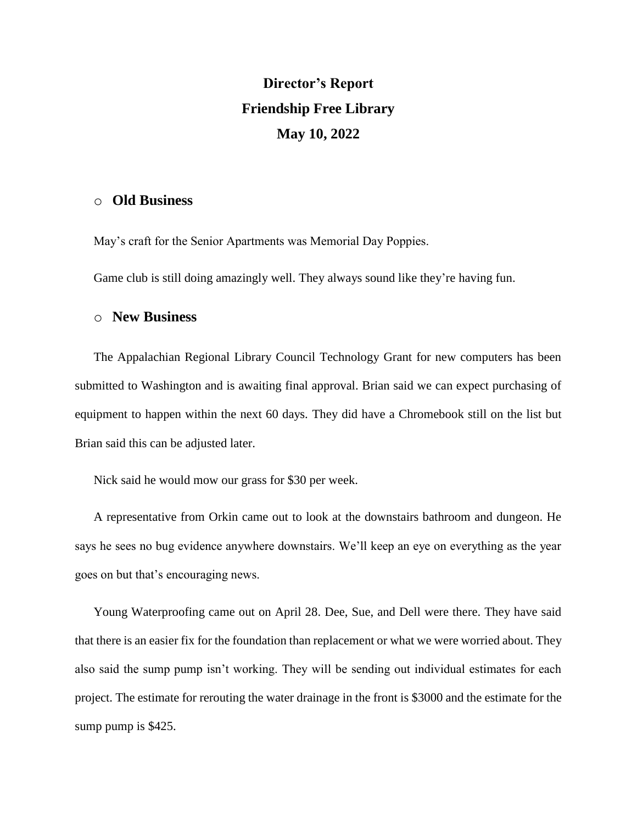## **Director's Report Friendship Free Library May 10, 2022**

## o **Old Business**

May's craft for the Senior Apartments was Memorial Day Poppies.

Game club is still doing amazingly well. They always sound like they're having fun.

## o **New Business**

The Appalachian Regional Library Council Technology Grant for new computers has been submitted to Washington and is awaiting final approval. Brian said we can expect purchasing of equipment to happen within the next 60 days. They did have a Chromebook still on the list but Brian said this can be adjusted later.

Nick said he would mow our grass for \$30 per week.

A representative from Orkin came out to look at the downstairs bathroom and dungeon. He says he sees no bug evidence anywhere downstairs. We'll keep an eye on everything as the year goes on but that's encouraging news.

Young Waterproofing came out on April 28. Dee, Sue, and Dell were there. They have said that there is an easier fix for the foundation than replacement or what we were worried about. They also said the sump pump isn't working. They will be sending out individual estimates for each project. The estimate for rerouting the water drainage in the front is \$3000 and the estimate for the sump pump is \$425.